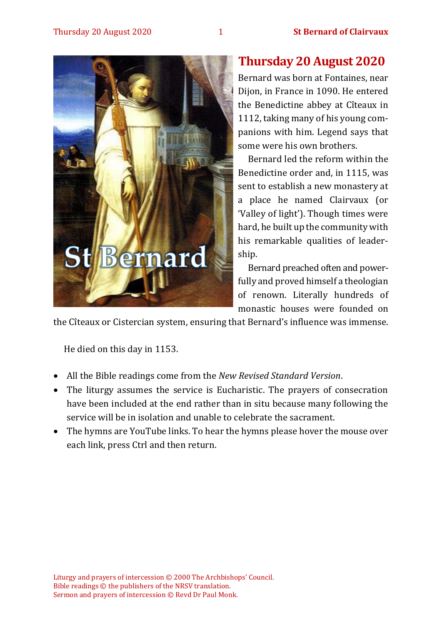

# **Thursday 20 August 2020**

Bernard was born at Fontaines, near Dijon, in France in 1090. He entered the Benedictine abbey at Cîteaux in 1112, taking many of his young companions with him. Legend says that some were his own brothers.

Bernard led the reform within the Benedictine order and, in 1115, was sent to establish a new monastery at a place he named Clairvaux (or 'Valley of light'). Though times were hard, he built up the community with his remarkable qualities of leadership.

Bernard preached often and powerfully and proved himself a theologian of renown. Literally hundreds of monastic houses were founded on

the Cîteaux or Cistercian system, ensuring that Bernard's influence was immense.

He died on this day in 1153.

- All the Bible readings come from the *New Revised Standard Version*.
- The liturgy assumes the service is Eucharistic. The prayers of consecration have been included at the end rather than in situ because many following the service will be in isolation and unable to celebrate the sacrament.
- The hymns are YouTube links. To hear the hymns please hover the mouse over each link, press Ctrl and then return.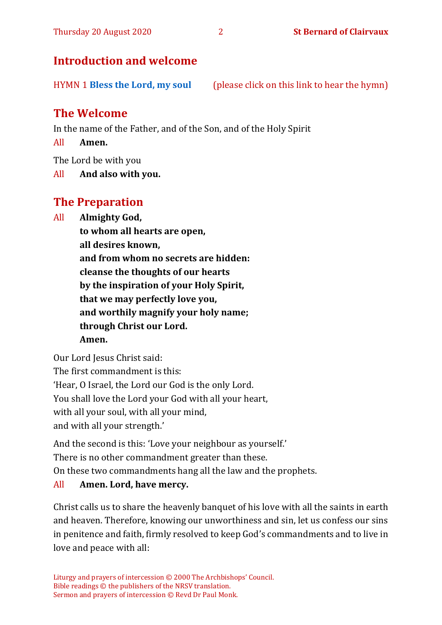# **Introduction and welcome**

HYMN 1 **[Bless the Lord, my soul](https://www.youtube.com/watch?v=gSN586nUJXg)** (please click on this link to hear the hymn)

# **The Welcome**

In the name of the Father, and of the Son, and of the Holy Spirit

All **Amen.**

The Lord be with you

All **And also with you.**

# **The Preparation**

All **Almighty God,**

**to whom all hearts are open, all desires known, and from whom no secrets are hidden: cleanse the thoughts of our hearts by the inspiration of your Holy Spirit, that we may perfectly love you, and worthily magnify your holy name; through Christ our Lord. Amen.**

Our Lord Jesus Christ said: The first commandment is this: 'Hear, O Israel, the Lord our God is the only Lord. You shall love the Lord your God with all your heart, with all your soul, with all your mind, and with all your strength.'

And the second is this: 'Love your neighbour as yourself.'

There is no other commandment greater than these.

On these two commandments hang all the law and the prophets.

#### All **Amen. Lord, have mercy.**

Christ calls us to share the heavenly banquet of his love with all the saints in earth and heaven. Therefore, knowing our unworthiness and sin, let us confess our sins in penitence and faith, firmly resolved to keep God's commandments and to live in love and peace with all: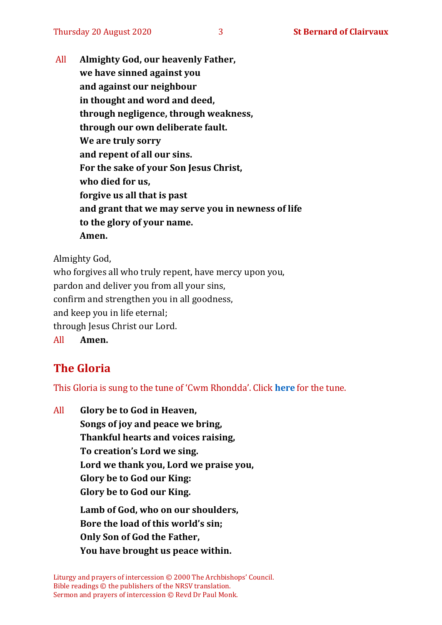All **Almighty God, our heavenly Father, we have sinned against you and against our neighbour in thought and word and deed, through negligence, through weakness, through our own deliberate fault. We are truly sorry and repent of all our sins. For the sake of your Son Jesus Christ, who died for us, forgive us all that is past and grant that we may serve you in newness of life to the glory of your name. Amen.**

Almighty God,

who forgives all who truly repent, have mercy upon you, pardon and deliver you from all your sins, confirm and strengthen you in all goodness, and keep you in life eternal; through Jesus Christ our Lord. All **Amen.**

# **The Gloria**

This Gloria is sung to the tune of 'Cwm Rhondda'. Click **[here](about:blank)** for the tune.

All **Glory be to God in Heaven, Songs of joy and peace we bring, Thankful hearts and voices raising, To creation's Lord we sing. Lord we thank you, Lord we praise you, Glory be to God our King: Glory be to God our King. Lamb of God, who on our shoulders, Bore the load of this world's sin; Only Son of God the Father, You have brought us peace within.**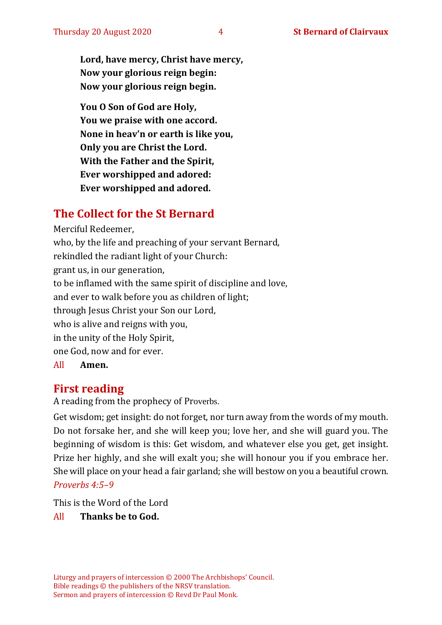**Lord, have mercy, Christ have mercy, Now your glorious reign begin: Now your glorious reign begin.**

**You O Son of God are Holy, You we praise with one accord. None in heav'n or earth is like you, Only you are Christ the Lord. With the Father and the Spirit, Ever worshipped and adored: Ever worshipped and adored.**

# **The Collect for the St Bernard**

Merciful Redeemer, who, by the life and preaching of your servant Bernard, rekindled the radiant light of your Church: grant us, in our generation, to be inflamed with the same spirit of discipline and love, and ever to walk before you as children of light; through Jesus Christ your Son our Lord, who is alive and reigns with you, in the unity of the Holy Spirit, one God, now and for ever. All **Amen.**

# **First reading**

A reading from the prophecy of Proverbs.

Get wisdom; get insight: do not forget, nor turn away from the words of my mouth. Do not forsake her, and she will keep you; love her, and she will guard you. The beginning of wisdom is this: Get wisdom, and whatever else you get, get insight. Prize her highly, and she will exalt you; she will honour you if you embrace her. She will place on your head a fair garland; she will bestow on you a beautiful crown. *Proverbs 4:5–9*

This is the Word of the Lord

#### All **Thanks be to God.**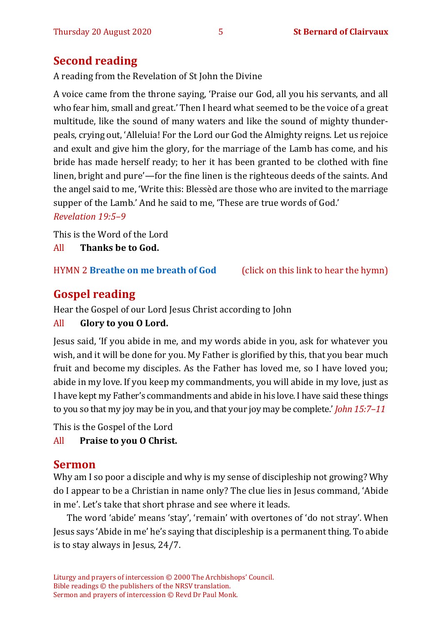# **Second reading**

A reading from the Revelation of St John the Divine

A voice came from the throne saying, 'Praise our God, all you his servants, and all who fear him, small and great.' Then I heard what seemed to be the voice of a great multitude, like the sound of many waters and like the sound of mighty thunderpeals, crying out, 'Alleluia! For the Lord our God the Almighty reigns. Let us rejoice and exult and give him the glory, for the marriage of the Lamb has come, and his bride has made herself ready; to her it has been granted to be clothed with fine linen, bright and pure'—for the fine linen is the righteous deeds of the saints. And the angel said to me, 'Write this: Blessèd are those who are invited to the marriage supper of the Lamb.' And he said to me, 'These are true words of God.' *Revelation 19:5–9*

This is the Word of the Lord

All **Thanks be to God.**

HYMN 2 **[Breathe on me breath of God](https://youtu.be/M5keJHZdWYM)** (click on this link to hear the hymn)

# **Gospel reading**

Hear the Gospel of our Lord Jesus Christ according to John

### All **Glory to you O Lord.**

Jesus said, 'If you abide in me, and my words abide in you, ask for whatever you wish, and it will be done for you. My Father is glorified by this, that you bear much fruit and become my disciples. As the Father has loved me, so I have loved you; abide in my love.If you keep my commandments, you will abide in my love, just as I have kept my Father's commandments and abide in his love.I have said these things to you so that my joy may be in you, and that your joy may be complete.' *John 15:7–11*

This is the Gospel of the Lord

### All **Praise to you O Christ.**

# **Sermon**

Why am I so poor a disciple and why is my sense of discipleship not growing? Why do I appear to be a Christian in name only? The clue lies in Jesus command, 'Abide in me'. Let's take that short phrase and see where it leads.

The word 'abide' means 'stay', 'remain' with overtones of 'do not stray'. When Jesus says 'Abide in me' he's saying that discipleship is a permanent thing. To abide is to stay always in Jesus, 24/7.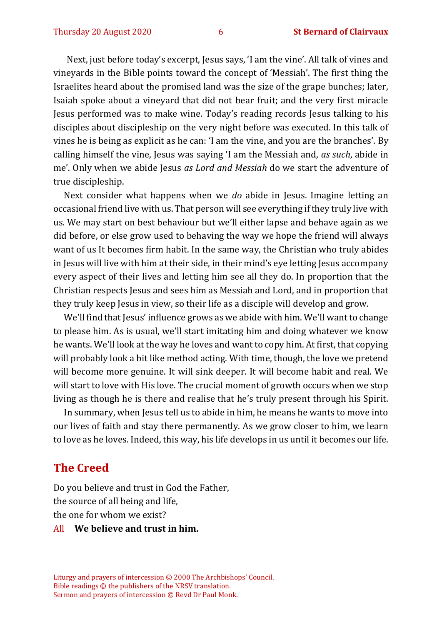Next, just before today's excerpt, Jesus says, 'I am the vine'. All talk of vines and vineyards in the Bible points toward the concept of 'Messiah'. The first thing the Israelites heard about the promised land was the size of the grape bunches; later, Isaiah spoke about a vineyard that did not bear fruit; and the very first miracle Jesus performed was to make wine. Today's reading records Jesus talking to his disciples about discipleship on the very night before was executed. In this talk of vines he is being as explicit as he can: 'I am the vine, and you are the branches'. By calling himself the vine, Jesus was saying 'I am the Messiah and, *as such*, abide in me'. Only when we abide Jesus *as Lord and Messiah* do we start the adventure of true discipleship.

Next consider what happens when we *do* abide in Jesus. Imagine letting an occasional friend live with us. That person will see everything if they truly live with us. We may start on best behaviour but we'll either lapse and behave again as we did before, or else grow used to behaving the way we hope the friend will always want of us It becomes firm habit. In the same way, the Christian who truly abides in Jesus will live with him at their side, in their mind's eye letting Jesus accompany every aspect of their lives and letting him see all they do. In proportion that the Christian respects Jesus and sees him as Messiah and Lord, and in proportion that they truly keep Jesus in view, so their life as a disciple will develop and grow.

We'll find that Jesus' influence grows as we abide with him. We'll want to change to please him. As is usual, we'll start imitating him and doing whatever we know he wants. We'll look at the way he loves and want to copy him. At first, that copying will probably look a bit like method acting. With time, though, the love we pretend will become more genuine. It will sink deeper. It will become habit and real. We will start to love with His love. The crucial moment of growth occurs when we stop living as though he is there and realise that he's truly present through his Spirit.

In summary, when Jesus tell us to abide in him, he means he wants to move into our lives of faith and stay there permanently. As we grow closer to him, we learn to love as he loves. Indeed, this way, his life develops in us until it becomes our life.

#### **The Creed**

Do you believe and trust in God the Father, the source of all being and life, the one for whom we exist?

#### All **We believe and trust in him.**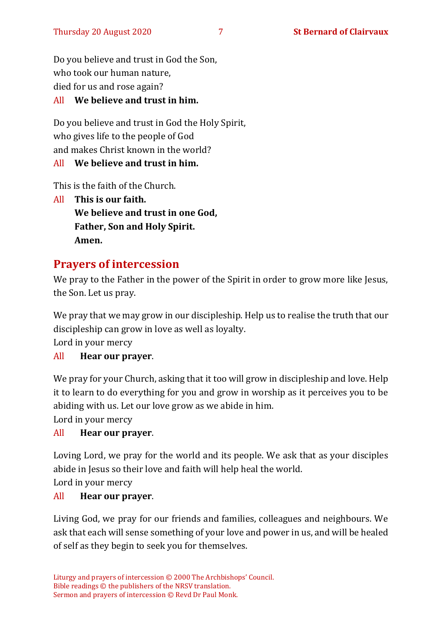Do you believe and trust in God the Son, who took our human nature, died for us and rose again?

#### All **We believe and trust in him.**

Do you believe and trust in God the Holy Spirit, who gives life to the people of God and makes Christ known in the world?

#### All **We believe and trust in him.**

This is the faith of the Church.

All **This is our faith. We believe and trust in one God, Father, Son and Holy Spirit. Amen.**

# **Prayers of intercession**

We pray to the Father in the power of the Spirit in order to grow more like Jesus, the Son. Let us pray.

We pray that we may grow in our discipleship. Help us to realise the truth that our discipleship can grow in love as well as loyalty.

Lord in your mercy

#### All **Hear our prayer**.

We pray for your Church, asking that it too will grow in discipleship and love. Help it to learn to do everything for you and grow in worship as it perceives you to be abiding with us. Let our love grow as we abide in him.

Lord in your mercy

### All **Hear our prayer**.

Loving Lord, we pray for the world and its people. We ask that as your disciples abide in Jesus so their love and faith will help heal the world.

Lord in your mercy

#### All **Hear our prayer**.

Living God, we pray for our friends and families, colleagues and neighbours. We ask that each will sense something of your love and power in us, and will be healed of self as they begin to seek you for themselves.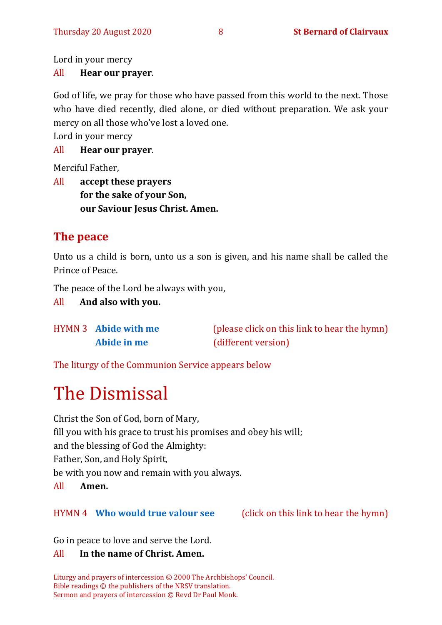Lord in your mercy

#### All **Hear our prayer**.

God of life, we pray for those who have passed from this world to the next. Those who have died recently, died alone, or died without preparation. We ask your mercy on all those who've lost a loved one.

Lord in your mercy

All **Hear our prayer**.

Merciful Father,

All **accept these prayers for the sake of your Son, our Saviour Jesus Christ. Amen.**

# **The peace**

Unto us a child is born, unto us a son is given, and his name shall be called the Prince of Peace.

The peace of the Lord be always with you,

All **And also with you.**

| HYMN 3 Abide with me |
|----------------------|
| Abide in me          |

(please click on this link to hear the hymn) (different version)

The liturgy of the Communion Service appears below

# The Dismissal

Christ the Son of God, born of Mary, fill you with his grace to trust his promises and obey his will; and the blessing of God the Almighty: Father, Son, and Holy Spirit, be with you now and remain with you always.

All **Amen.**

#### HYMN 4 **[Who would true valour see](https://www.youtube.com/watch?v=5yHJMPw8RHU)** (click on this link to hear the hymn)

Go in peace to love and serve the Lord.

### All **In the name of Christ. Amen.**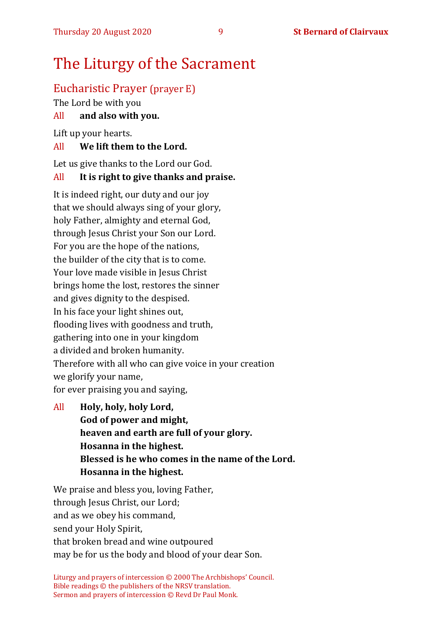# The Liturgy of the Sacrament

# Eucharistic Prayer (prayer E)

The Lord be with you

### All **and also with you.**

Lift up your hearts.

#### All **We lift them to the Lord.**

Let us give thanks to the Lord our God.

#### All **It is right to give thanks and praise.**

It is indeed right, our duty and our joy that we should always sing of your glory, holy Father, almighty and eternal God, through Jesus Christ your Son our Lord. For you are the hope of the nations, the builder of the city that is to come. Your love made visible in Jesus Christ brings home the lost, restores the sinner and gives dignity to the despised. In his face your light shines out, flooding lives with goodness and truth, gathering into one in your kingdom a divided and broken humanity. Therefore with all who can give voice in your creation we glorify your name, for ever praising you and saying,

All **Holy, holy, holy Lord, God of power and might, heaven and earth are full of your glory. Hosanna in the highest. Blessed is he who comes in the name of the Lord. Hosanna in the highest.**

We praise and bless you, loving Father, through Jesus Christ, our Lord; and as we obey his command, send your Holy Spirit, that broken bread and wine outpoured may be for us the body and blood of your dear Son.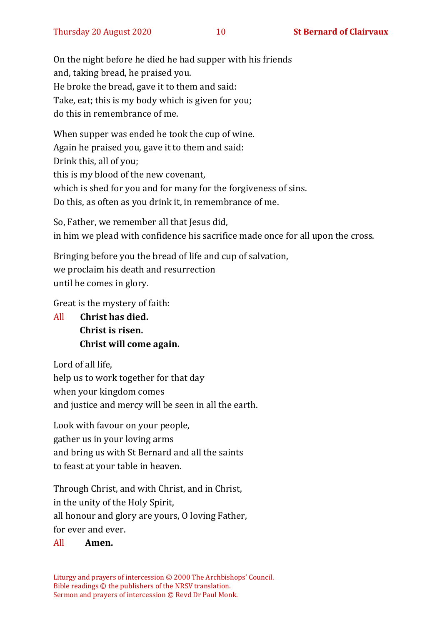On the night before he died he had supper with his friends and, taking bread, he praised you. He broke the bread, gave it to them and said: Take, eat; this is my body which is given for you; do this in remembrance of me.

When supper was ended he took the cup of wine. Again he praised you, gave it to them and said: Drink this, all of you; this is my blood of the new covenant, which is shed for you and for many for the forgiveness of sins. Do this, as often as you drink it, in remembrance of me.

So, Father, we remember all that Jesus did, in him we plead with confidence his sacrifice made once for all upon the cross.

Bringing before you the bread of life and cup of salvation, we proclaim his death and resurrection until he comes in glory.

Great is the mystery of faith:

All **Christ has died. Christ is risen. Christ will come again.**

Lord of all life, help us to work together for that day when your kingdom comes and justice and mercy will be seen in all the earth.

Look with favour on your people, gather us in your loving arms and bring us with St Bernard and all the saints to feast at your table in heaven.

Through Christ, and with Christ, and in Christ, in the unity of the Holy Spirit, all honour and glory are yours, O loving Father,

for ever and ever.

#### All **Amen.**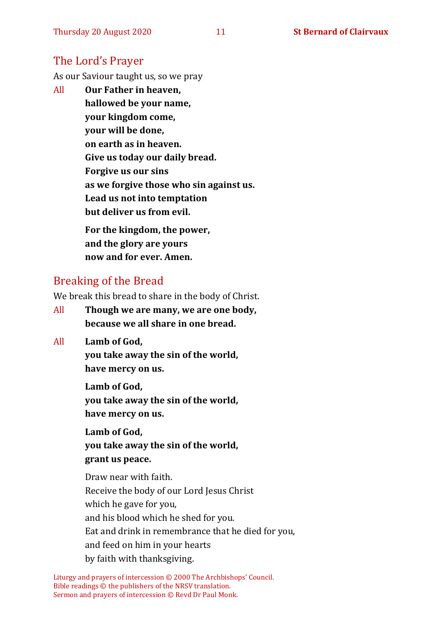### The Lord's Prayer

As our Saviour taught us, so we pray

All **Our Father in heaven, hallowed be your name, your kingdom come, your will be done, on earth as in heaven. Give us today our daily bread. Forgive us our sins as we forgive those who sin against us. Lead us not into temptation but deliver us from evil. For the kingdom, the power,** 

**and the glory are yours now and for ever. Amen.**

# Breaking of the Bread

We break this bread to share in the body of Christ.

- All **Though we are many, we are one body, because we all share in one bread.**
- All **Lamb of God,**

**you take away the sin of the world, have mercy on us.**

**Lamb of God, you take away the sin of the world, have mercy on us.**

**Lamb of God, you take away the sin of the world, grant us peace.**

Draw near with faith. Receive the body of our Lord Jesus Christ which he gave for you, and his blood which he shed for you. Eat and drink in remembrance that he died for you, and feed on him in your hearts by faith with thanksgiving.